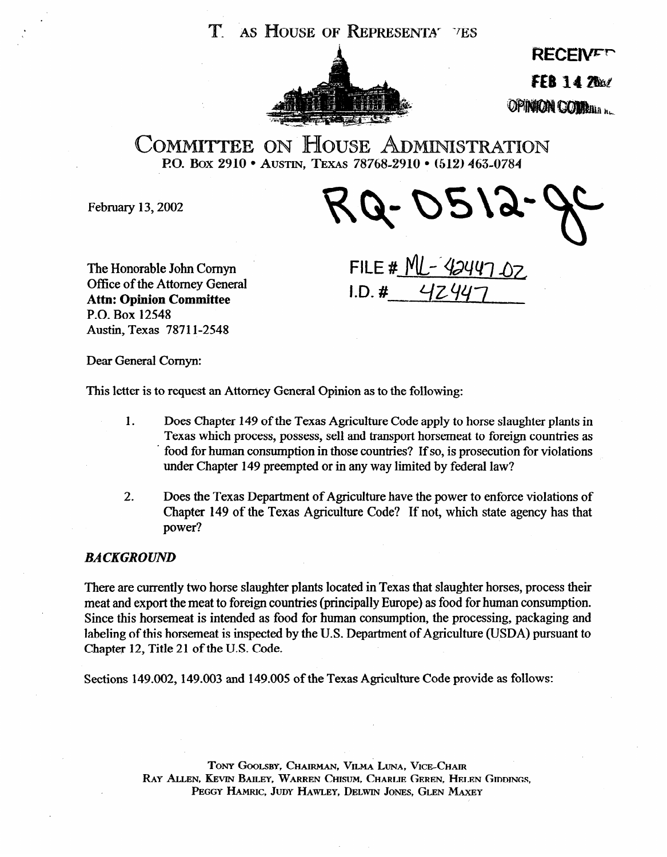

**RECEIVET FFB 14 7ha/** OPINION COMBINATION

**COMMITTEE ON HOUSE ADMINISTRATION P.O. Box 2910 • Austin, Texas 78768-2910 • (512) 463-0784** 

February 13,2002

The Honorable John Comyn Office of the Attorney General **Attn: Opinion Committee**  P.O. Box 12548 Austin, Texas 7871 l-2548

 $T$ 

 $FILE # NLL - 42447 07$  $I.D. # 4Z44$ 

Dear General Comyn:

This letter is to request an Attorney General Opinion as to the following:

- 1. Does Chapter 149 of the Texas Agriculture Code apply to horse slaughter plants in Texas which process, possess, sell and transport horsemeat to foreign countries as food for human consumption in those countries? If so, is prosecution for violations under Chapter 149 preempted or in any way limited by federal law?
- **2.** Does the Texas Department of Agriculture have the power to enforce violations of Chapter 149 of the Texas Agriculture Code? If not, which state agency has that power?

# *BACKGROUND*

There are currently two horse slaughter plants Iocated in Texas that slaughter horses, process their meat and export the meat to foreign countries (principally Europe) as food for human consumption. Since this horsemeat is intended as food for human consumption, the processing, packaging and labeling of this horsemeat is inspected by the U.S. Department of Agriculture (USDA) pursuant to Chapter 12, Title 21 of the U.S. Code.

Sections 149.002, 149.003 and 149.005 of the Texas Agriculture Code provide as follows:

TONY GOOLSBY, CHAIRMAN, VILMA LUNA, VICE-CHAIR RAY ALLEN, KEVIN BAILEY, WARREN CHISUM, CHARLIE GEREN, HELEN GIDDINGS, PEGGY HAMRIC, JUDY HAWLEY, DELWIN JONES, GLEN MAXEY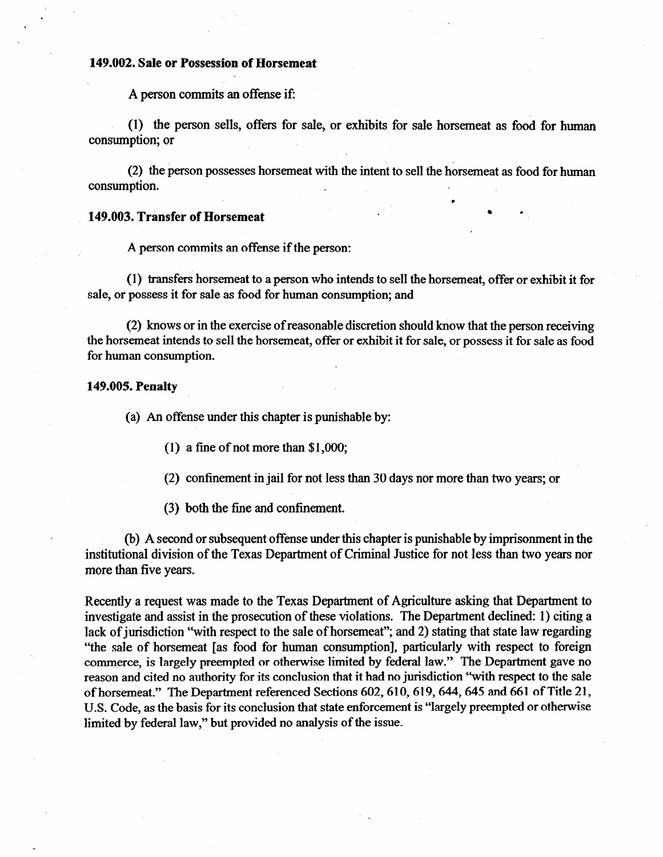#### **149.002. Sale or Possession of Horsemeat**

A person commits an offense if:

(1) the person sells, offers for sale, or exhibits for sale horsemeat as food for human consumption; or

(2) the person possesses horsemeat with the intent to sell the horsemeat as food for human consumption.

\*

### **. 149.003. Transfer of Horsemeat . \* 1**

A person commits an offense if the person:

(1) transfers horsemeat to a person who intends to sell the horsemeat, offer or exhibit it for sale, or possess it for sale as food for human consumption; and

(2) knows or in the exercise of reasonable discretion should know that the person receiving the horsemeat intends to sell the horsemeat, offer or exhibit it for sale, or possess it for sale as food for human consumption.

### **149.005. Penalty**

(a) An offense under this chapter is punishable by:

(1) a fine of not more than \$1,000;

(2) confinement in jail for not less than 30 days nor more than two years; or

(3) both the fine and confinement.

(b) A second or subsequent offense under this chapter is punishable by imprisonment in the institutional division of the Texas Department of Criminal Justice for not less than two years nor more than five years.

Recently a request was made to the Texas Department of Agriculture asking that Department to investigate and assist in the prosecution of these violations. The Department declined: 1) citing a lack of jurisdiction "with respect to the sale of horsemeat"; and 2) stating that state law regarding "the sale of horsemeat [as food for human consumption], particularly with respect to foreign commerce, is largely preempted or otherwise limited by federal law." The Department gave no reason and cited no authority for its conclusion that it had no jurisdiction "with respect to the sale of horsemeat." The Department referenced Sections 602,610,619,644,645 and 661 of Title 21, U.S. Code, as the basis for its conclusion that state enforcement is "largely preempted or otherwise limited by federal law," but provided no analysis of the issue.